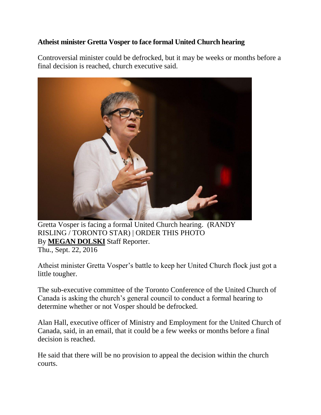## **Atheist minister Gretta Vosper to face formal United Church hearing**

Controversial minister could be defrocked, but it may be weeks or months before a final decision is reached, church executive said.



Gretta Vosper is facing a formal United Church hearing. (RANDY RISLING / TORONTO STAR) | ORDER THIS PHOTO By **[MEGAN DOLSKI](https://www.thestar.com/authors.dolski_megan.html)** Staff Reporter. Thu., Sept. 22, 2016

Atheist minister Gretta Vosper's battle to keep her United Church flock just got a little tougher.

The sub-executive committee of the Toronto Conference of the United Church of Canada is asking the church's general council to conduct a formal hearing to determine whether or not Vosper should be defrocked.

Alan Hall, executive officer of Ministry and Employment for the United Church of Canada, said, in an email, that it could be a few weeks or months before a final decision is reached.

He said that there will be no provision to appeal the decision within the church courts.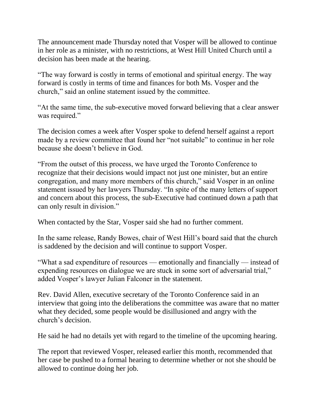The announcement made Thursday noted that Vosper will be allowed to continue in her role as a minister, with no restrictions, at West Hill United Church until a decision has been made at the hearing.

"The way forward is costly in terms of emotional and spiritual energy. The way forward is costly in terms of time and finances for both Ms. Vosper and the church," said an online statement issued by the committee.

"At the same time, the sub-executive moved forward believing that a clear answer was required."

The decision comes a week after Vosper spoke to defend herself against a report made by a review committee that found her "not suitable" to continue in her role because she doesn't believe in God.

"From the outset of this process, we have urged the Toronto Conference to recognize that their decisions would impact not just one minister, but an entire congregation, and many more members of this church," said Vosper in an online statement issued by her lawyers Thursday. "In spite of the many letters of support and concern about this process, the sub-Executive had continued down a path that can only result in division."

When contacted by the Star, Vosper said she had no further comment.

In the same release, Randy Bowes, chair of West Hill's board said that the church is saddened by the decision and will continue to support Vosper.

"What a sad expenditure of resources — emotionally and financially — instead of expending resources on dialogue we are stuck in some sort of adversarial trial," added Vosper's lawyer Julian Falconer in the statement.

Rev. David Allen, executive secretary of the Toronto Conference said in an interview that going into the deliberations the committee was aware that no matter what they decided, some people would be disillusioned and angry with the church's decision.

He said he had no details yet with regard to the timeline of the upcoming hearing.

The report that reviewed Vosper, released earlier this month, recommended that her case be pushed to a formal hearing to determine whether or not she should be allowed to continue doing her job.